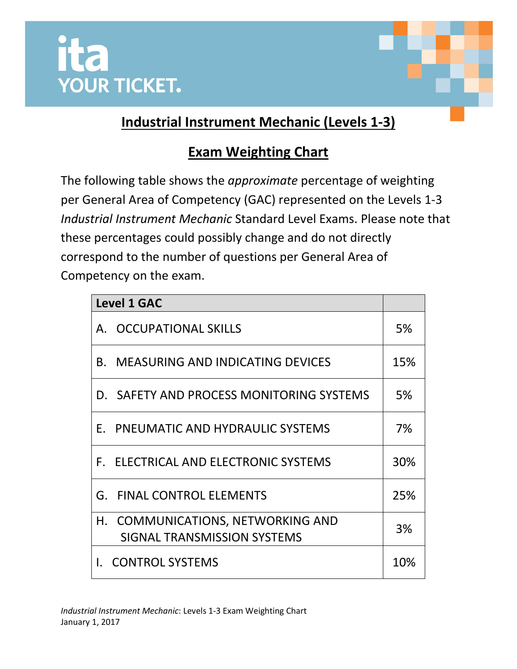



## **Industrial Instrument Mechanic (Levels 1-3)**

## **Exam Weighting Chart**

The following table shows the *approximate* percentage of weighting per General Area of Competency (GAC) represented on the Levels 1-3 *Industrial Instrument Mechanic* Standard Level Exams. Please note that these percentages could possibly change and do not directly correspond to the number of questions per General Area of Competency on the exam.

| <b>Level 1 GAC</b>                                               |     |
|------------------------------------------------------------------|-----|
| A. OCCUPATIONAL SKILLS                                           | 5%  |
| <b>B. MEASURING AND INDICATING DEVICES</b>                       | 15% |
| D. SAFETY AND PROCESS MONITORING SYSTEMS                         | 5%  |
| E. PNEUMATIC AND HYDRAULIC SYSTEMS                               | 7%  |
| F. ELECTRICAL AND ELECTRONIC SYSTEMS                             | 30% |
| <b>G. FINAL CONTROL ELEMENTS</b>                                 | 25% |
| H. COMMUNICATIONS, NETWORKING AND<br>SIGNAL TRANSMISSION SYSTEMS | 3%  |
| <b>I. CONTROL SYSTEMS</b>                                        | 10% |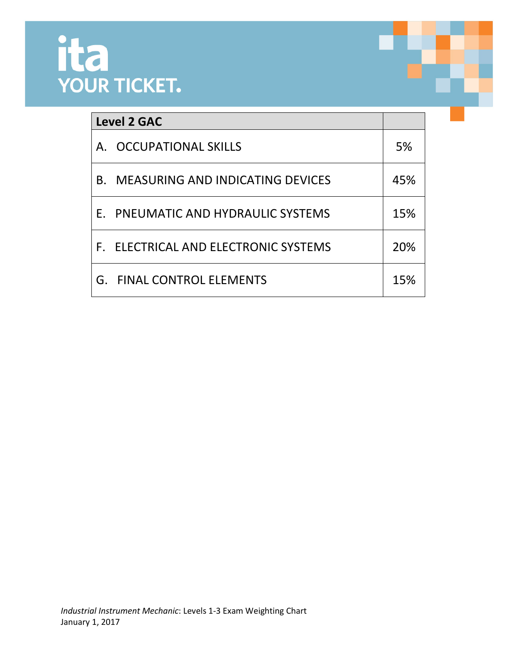

| <b>Level 2 GAC</b>   |                                         |     |
|----------------------|-----------------------------------------|-----|
| $\mathsf{A}_{\cdot}$ | <b>OCCUPATIONAL SKILLS</b>              | 5%  |
| <b>B.</b>            | <b>MEASURING AND INDICATING DEVICES</b> | 45% |
|                      | E. PNEUMATIC AND HYDRAULIC SYSTEMS      | 15% |
|                      | F. ELECTRICAL AND ELECTRONIC SYSTEMS    | 20% |
|                      | <b>G. FINAL CONTROL ELEMENTS</b>        | 15% |